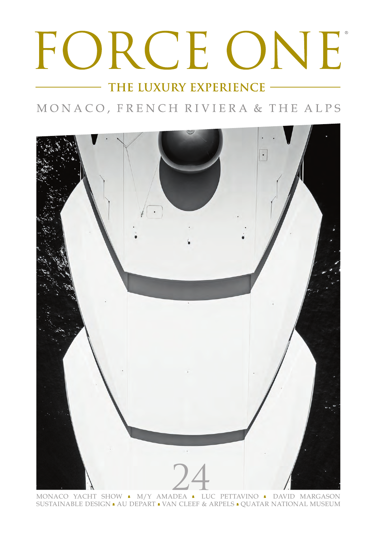## FORCE ONE

THE LUXURY EXPERIENCE -

MONACO, FRENCH RIVIERA & THE ALPS



SUSTAINABLE DESIGN • AU DEPART • VAN CLEEF & ARPELS • QUATAR NATIONAL MUSEUM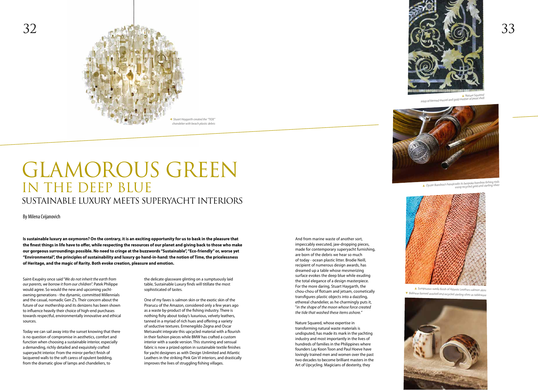## GLAMOROUS GREEN IN THE DEEP BLUE SUSTAINABLE LUXURY MEETS SUPERYACHT INTERIORS

By Milena Cvijanovich

Saint-Exupéry once said "*We do not inherit the earth from our parents, we borrow it from our children*". Patek Philippe would agree. So would the new and upcoming yachtowning generations - the dynamic, committed Millennials and the casual, nomadic Gen Z's. Their concern about the future of our mothership and its denizens has been shown to influence heavily their choice of high-end purchases towards respectful, environmentally innovative and ethical sources.

Today we can sail away into the sunset knowing that there is no question of compromise in aesthetics, comfort and function when choosing a sustainable interior, especially a demanding, richly detailed and exquisitely crafted superyacht interior. From the mirror perfect finish of lacquered walls to the soft caress of opulent bedding, from the dramatic glow of lamps and chandeliers, to

the delicate glassware glinting on a sumptuously laid table, Sustainable Luxury finds will titillate the most sophisticated of tastes.

One of my faves is salmon skin or the exotic skin of the Pirarucu of the Amazon, considered only a few years ago as a waste by-product of the fishing industry. There is nothing fishy about today's luxurious, velvety leathers, tanned in a myriad of rich hues and offering a variety of seductive textures. Ermenegildo Zegna and Oscar Metsavaht integrate this upcycled material with a flourish in their fashion pieces while BMW has crafted a custom interior with a suede version. This stunning and sensual fabric is now a prized option in sustainable textile finishes for yacht designers as with Design Unlimited and Atlantic Leathers in the striking Pink Gin VI interiors, and drastically improves the lives of struggling fishing villages.



And from marine waste of another sort, impeccably executed, jaw-dropping pieces, made for contemporary superyacht furnishing, are born of the debris we hear so much of today - ocean plastic litter. Brodie Neill, recipient of numerous design awards, has dreamed up a table whose mesmerizing surface evokes the deep blue while exuding the total elegance of a design masterpiece. For the more daring, Stuart Haygarth, the chou-chou of flotsam and jetsam, cosmetically transfigures plastic objects into a dazzling, ethereal chandelier, as he charmingly puts it, "*in the shape of the moon whose force created the tide that washed these items ashore.*"

Nature Squared, whose expertise in transforming natural waste materials is undisputed, has made its mark in the yachting industry and most importantly in the lives of hundreds of families in the Philippines where founders Lay Koon Toon and Paul Hoeve have lovingly trained men and women over the past two decades to become brilliant masters in the Art of Upcycling. Magicians of dexterity, they



**Is sustainable luxury an oxymoron? On the contrary, it is an exciting opportunity for us to bask in the pleasure that the finest things in life have to offer, while respecting the resources of our planet and giving back to those who make our gorgeous surroundings possible. No need to cringe at the buzzwords "Sustainable", "Eco-friendly" or, worse yet "Environmental", the principles of sustainability and luxury go hand-in-hand: the notion of Time, the pricelessness of Heritage, and the magic of Rarity. Both evoke creation, pleasure and emotion.**

▲ *Nature Squared inlay of farmed mussel and gold mother of pearl shell*



▲ *Oyster Bamboo's handcrafts its bespoke bamboo fishing rods using recycled gold and sterling silver*



▲ *Sumptuous suede finish of Atlantic Leathers salmon skins* ▼ *Balinese farmed seashell and recycled sterling silver as tableware*